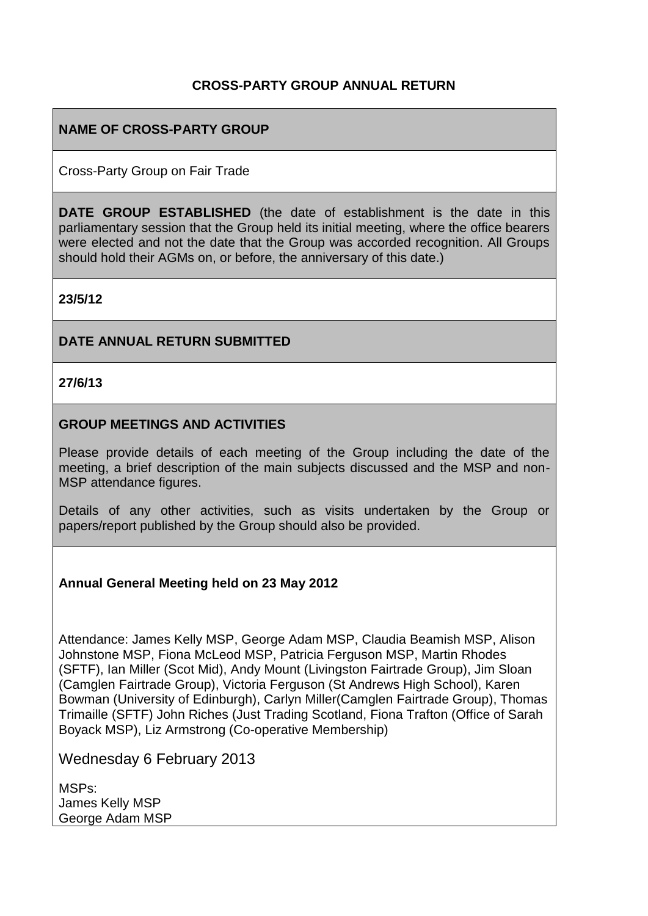## **CROSS-PARTY GROUP ANNUAL RETURN**

## **NAME OF CROSS-PARTY GROUP**

Cross-Party Group on Fair Trade

**DATE GROUP ESTABLISHED** (the date of establishment is the date in this parliamentary session that the Group held its initial meeting, where the office bearers were elected and not the date that the Group was accorded recognition. All Groups should hold their AGMs on, or before, the anniversary of this date.)

**23/5/12**

#### **DATE ANNUAL RETURN SUBMITTED**

**27/6/13**

#### **GROUP MEETINGS AND ACTIVITIES**

Please provide details of each meeting of the Group including the date of the meeting, a brief description of the main subjects discussed and the MSP and non-MSP attendance figures.

Details of any other activities, such as visits undertaken by the Group or papers/report published by the Group should also be provided.

#### **Annual General Meeting held on 23 May 2012**

Attendance: James Kelly MSP, George Adam MSP, Claudia Beamish MSP, Alison Johnstone MSP, Fiona McLeod MSP, Patricia Ferguson MSP, Martin Rhodes (SFTF), Ian Miller (Scot Mid), Andy Mount (Livingston Fairtrade Group), Jim Sloan (Camglen Fairtrade Group), Victoria Ferguson (St Andrews High School), Karen Bowman (University of Edinburgh), Carlyn Miller(Camglen Fairtrade Group), Thomas Trimaille (SFTF) John Riches (Just Trading Scotland, Fiona Trafton (Office of Sarah Boyack MSP), Liz Armstrong (Co-operative Membership)

Wednesday 6 February 2013

MSPs: James Kelly MSP George Adam MSP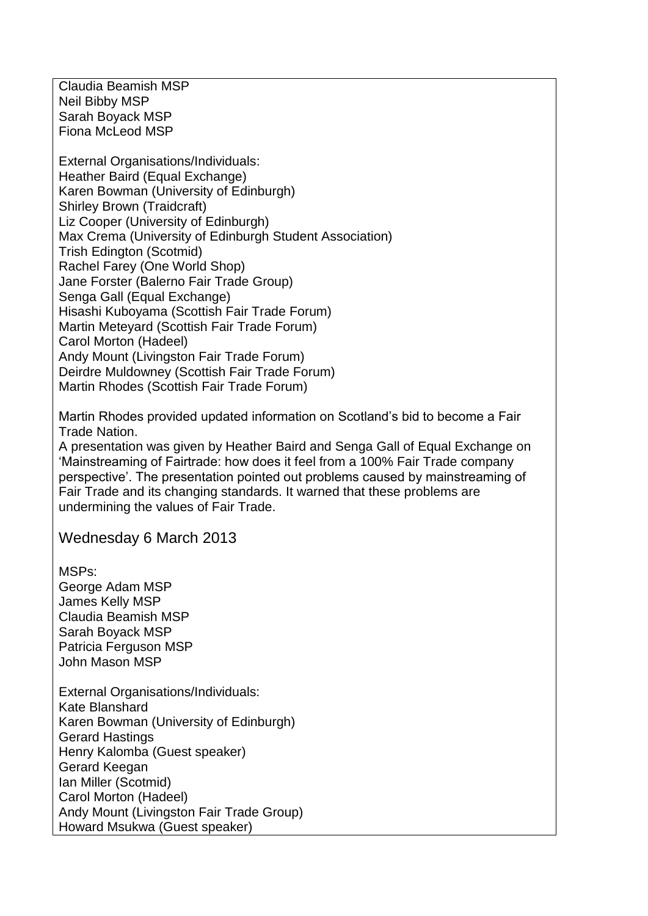Claudia Beamish MSP Neil Bibby MSP Sarah Boyack MSP Fiona McLeod MSP

External Organisations/Individuals: Heather Baird (Equal Exchange) Karen Bowman (University of Edinburgh) Shirley Brown (Traidcraft) Liz Cooper (University of Edinburgh) Max Crema (University of Edinburgh Student Association) Trish Edington (Scotmid) Rachel Farey (One World Shop) Jane Forster (Balerno Fair Trade Group) Senga Gall (Equal Exchange) Hisashi Kuboyama (Scottish Fair Trade Forum) Martin Meteyard (Scottish Fair Trade Forum) Carol Morton (Hadeel) Andy Mount (Livingston Fair Trade Forum) Deirdre Muldowney (Scottish Fair Trade Forum) Martin Rhodes (Scottish Fair Trade Forum)

Martin Rhodes provided updated information on Scotland's bid to become a Fair Trade Nation.

A presentation was given by Heather Baird and Senga Gall of Equal Exchange on 'Mainstreaming of Fairtrade: how does it feel from a 100% Fair Trade company perspective'. The presentation pointed out problems caused by mainstreaming of Fair Trade and its changing standards. It warned that these problems are undermining the values of Fair Trade.

Wednesday 6 March 2013

MSPs: George Adam MSP James Kelly MSP Claudia Beamish MSP Sarah Boyack MSP Patricia Ferguson MSP John Mason MSP

External Organisations/Individuals: Kate Blanshard Karen Bowman (University of Edinburgh) Gerard Hastings Henry Kalomba (Guest speaker) Gerard Keegan Ian Miller (Scotmid) Carol Morton (Hadeel) Andy Mount (Livingston Fair Trade Group) Howard Msukwa (Guest speaker)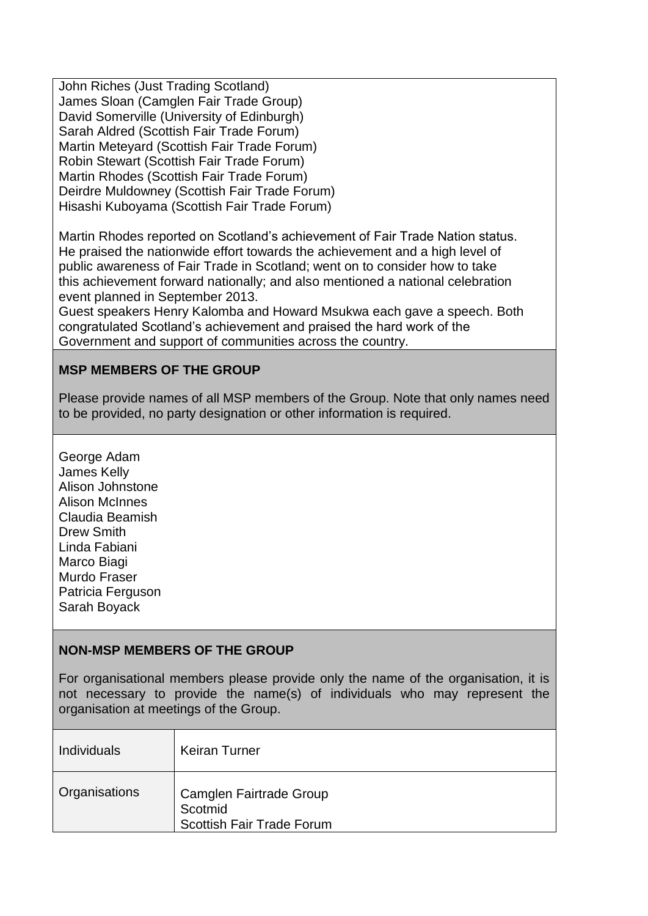John Riches (Just Trading Scotland) James Sloan (Camglen Fair Trade Group) David Somerville (University of Edinburgh) Sarah Aldred (Scottish Fair Trade Forum) Martin Meteyard (Scottish Fair Trade Forum) Robin Stewart (Scottish Fair Trade Forum) Martin Rhodes (Scottish Fair Trade Forum) Deirdre Muldowney (Scottish Fair Trade Forum) Hisashi Kuboyama (Scottish Fair Trade Forum)

Martin Rhodes reported on Scotland's achievement of Fair Trade Nation status. He praised the nationwide effort towards the achievement and a high level of public awareness of Fair Trade in Scotland; went on to consider how to take this achievement forward nationally; and also mentioned a national celebration event planned in September 2013.

Guest speakers Henry Kalomba and Howard Msukwa each gave a speech. Both congratulated Scotland's achievement and praised the hard work of the Government and support of communities across the country.

# **MSP MEMBERS OF THE GROUP**

Please provide names of all MSP members of the Group. Note that only names need to be provided, no party designation or other information is required.

George Adam James Kelly Alison Johnstone Alison McInnes Claudia Beamish Drew Smith Linda Fabiani Marco Biagi Murdo Fraser Patricia Ferguson Sarah Boyack

#### **NON-MSP MEMBERS OF THE GROUP**

For organisational members please provide only the name of the organisation, it is not necessary to provide the name(s) of individuals who may represent the organisation at meetings of the Group.

| <b>Individuals</b> | <b>Keiran Turner</b>                                                   |
|--------------------|------------------------------------------------------------------------|
| Organisations      | Camglen Fairtrade Group<br>Scotmid<br><b>Scottish Fair Trade Forum</b> |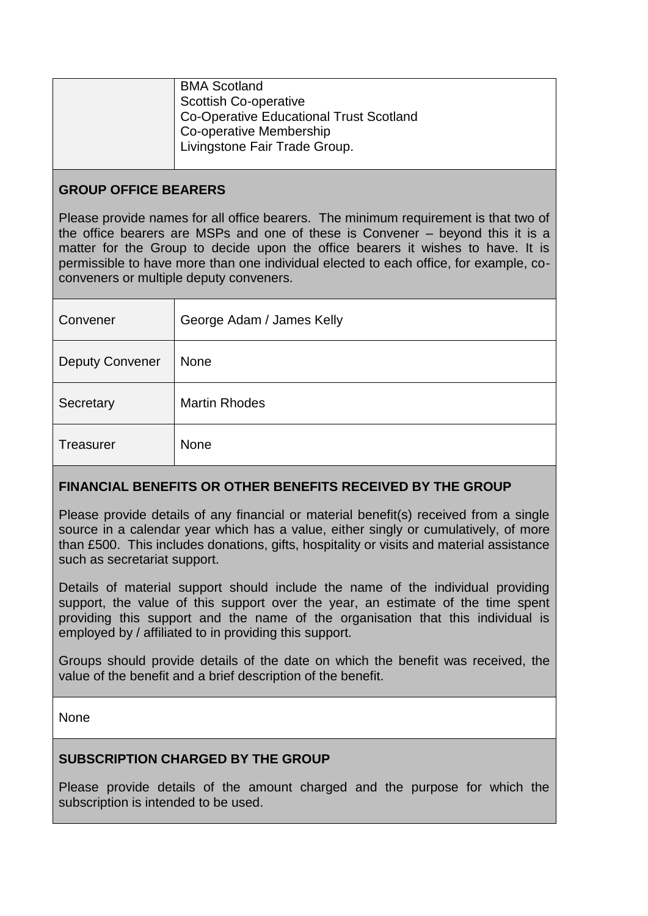| <b>BMA Scotland</b><br><b>Scottish Co-operative</b><br>Co-Operative Educational Trust Scotland<br>Co-operative Membership<br>Livingstone Fair Trade Group. |
|------------------------------------------------------------------------------------------------------------------------------------------------------------|
|                                                                                                                                                            |

#### **GROUP OFFICE BEARERS**

Please provide names for all office bearers. The minimum requirement is that two of the office bearers are MSPs and one of these is Convener – beyond this it is a matter for the Group to decide upon the office bearers it wishes to have. It is permissible to have more than one individual elected to each office, for example, coconveners or multiple deputy conveners.

| Convener               | George Adam / James Kelly |
|------------------------|---------------------------|
| <b>Deputy Convener</b> | <b>None</b>               |
| Secretary              | <b>Martin Rhodes</b>      |
| <b>Treasurer</b>       | None                      |

# **FINANCIAL BENEFITS OR OTHER BENEFITS RECEIVED BY THE GROUP**

Please provide details of any financial or material benefit(s) received from a single source in a calendar year which has a value, either singly or cumulatively, of more than £500. This includes donations, gifts, hospitality or visits and material assistance such as secretariat support.

Details of material support should include the name of the individual providing support, the value of this support over the year, an estimate of the time spent providing this support and the name of the organisation that this individual is employed by / affiliated to in providing this support.

Groups should provide details of the date on which the benefit was received, the value of the benefit and a brief description of the benefit.

None

# **SUBSCRIPTION CHARGED BY THE GROUP**

Please provide details of the amount charged and the purpose for which the subscription is intended to be used.